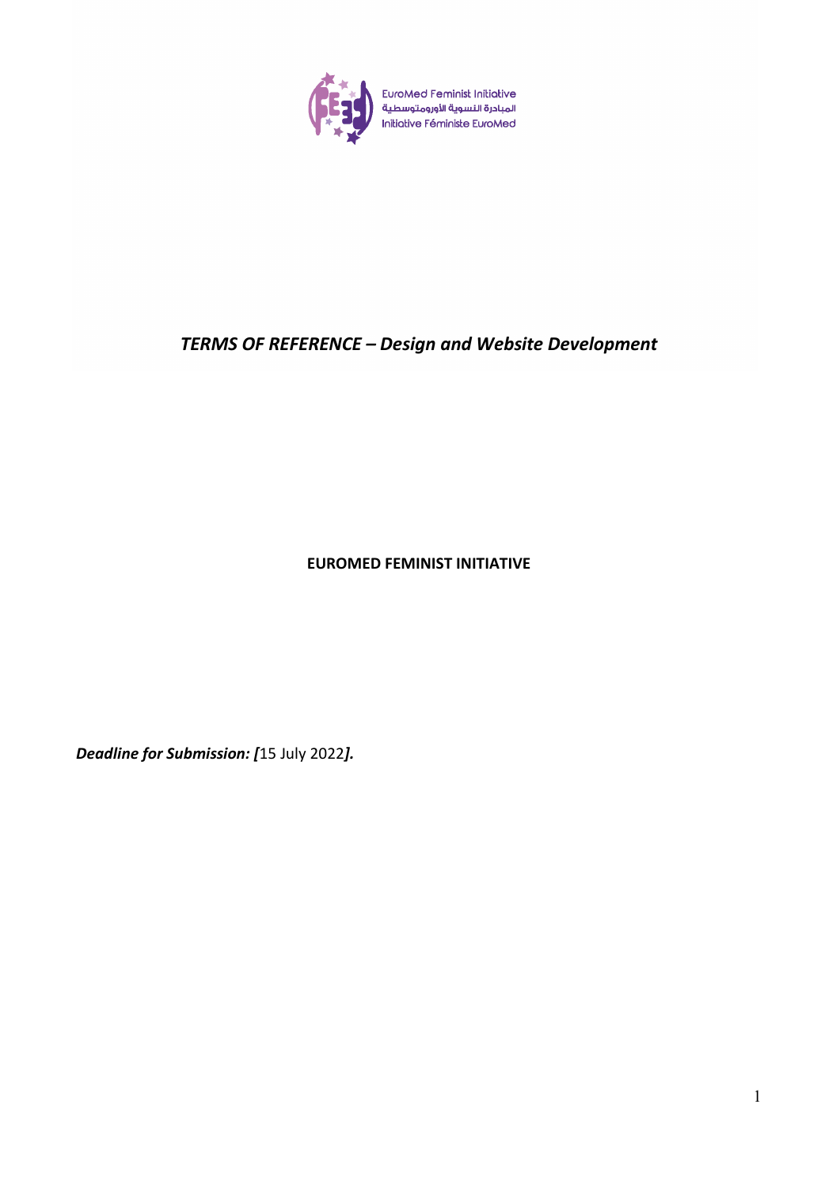

# *TERMS OF REFERENCE – Design and Website Development*

**EUROMED FEMINIST INITIATIVE**

*Deadline for Submission: [*15 July 2022*].*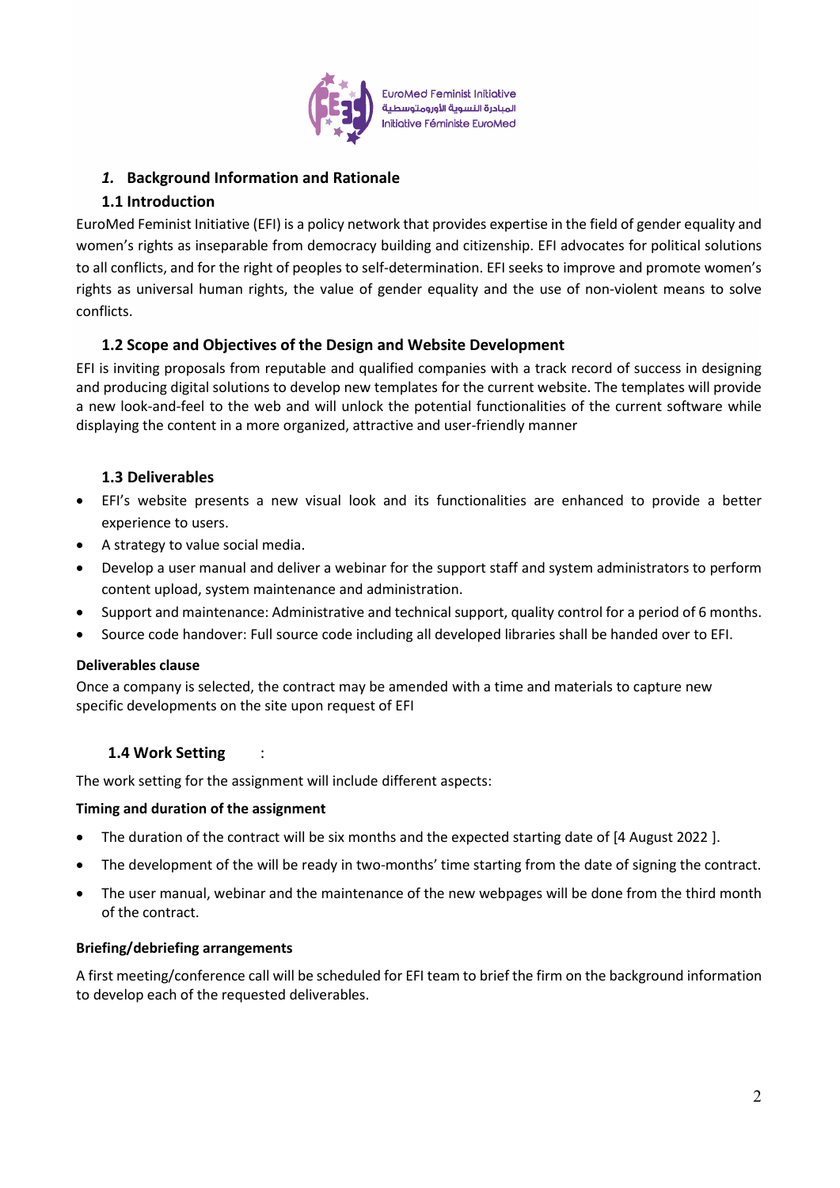

**EuroMed Feminist Initiative** المبادرة النسوية الأورومتوسطية **Initiative Féministe EuroMed** 

## *1.* **Background Information and Rationale**

# **1.1 Introduction**

EuroMed Feminist Initiative (EFI) is a policy network that provides expertise in the field of gender equality and women's rights as inseparable from democracy building and citizenship. EFI advocates for political solutions to all conflicts, and for the right of peoples to self-determination. EFI seeks to improve and promote women's rights as universal human rights, the value of gender equality and the use of non-violent means to solve conflicts.

# **1.2 Scope and Objectives of the Design and Website Development**

EFI is inviting proposals from reputable and qualified companies with a track record of success in designing and producing digital solutions to develop new templates for the current website. The templates will provide a new look-and-feel to the web and will unlock the potential functionalities of the current software while displaying the content in a more organized, attractive and user-friendly manner

# **1.3 Deliverables**

- EFI's website presents a new visual look and its functionalities are enhanced to provide a better experience to users.
- A strategy to value social media.
- Develop a user manual and deliver a webinar for the support staff and system administrators to perform content upload, system maintenance and administration.
- Support and maintenance: Administrative and technical support, quality control for a period of 6 months.
- Source code handover: Full source code including all developed libraries shall be handed over to EFI.

### **Deliverables clause**

Once a company is selected, the contract may be amended with a time and materials to capture new specific developments on the site upon request of EFI

### **1.4 Work Setting** :

The work setting for the assignment will include different aspects:

### **Timing and duration of the assignment**

- The duration of the contract will be six months and the expected starting date of [4 August 2022 ].
- The development of the will be ready in two-months' time starting from the date of signing the contract.
- The user manual, webinar and the maintenance of the new webpages will be done from the third month of the contract.

### **Briefing/debriefing arrangements**

A first meeting/conference call will be scheduled for EFI team to brief the firm on the background information to develop each of the requested deliverables.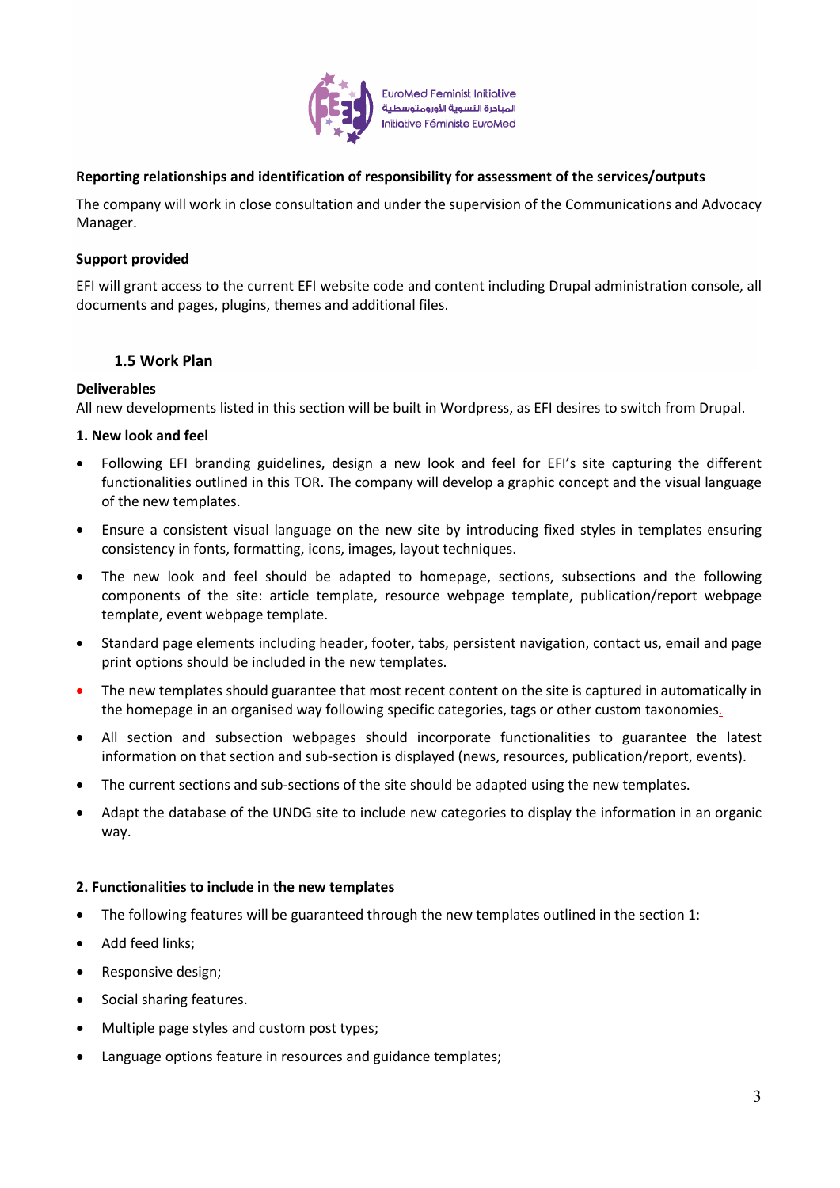

**EuroMed Feminist Initiative** المبادرة النسوبة الأورومتوسطية Initiative Féministe EuroMed

### **Reporting relationships and identification of responsibility for assessment of the services/outputs**

The company will work in close consultation and under the supervision of the Communications and Advocacy Manager.

#### **Support provided**

EFI will grant access to the current EFI website code and content including Drupal administration console, all documents and pages, plugins, themes and additional files.

#### **1.5 Work Plan**

#### **Deliverables**

All new developments listed in this section will be built in Wordpress, as EFI desires to switch from Drupal.

#### **1. New look and feel**

- Following EFI branding guidelines, design a new look and feel for EFI's site capturing the different functionalities outlined in this TOR. The company will develop a graphic concept and the visual language of the new templates.
- Ensure a consistent visual language on the new site by introducing fixed styles in templates ensuring consistency in fonts, formatting, icons, images, layout techniques.
- The new look and feel should be adapted to homepage, sections, subsections and the following components of the site: article template, resource webpage template, publication/report webpage template, event webpage template.
- Standard page elements including header, footer, tabs, persistent navigation, contact us, email and page print options should be included in the new templates.
- The new templates should guarantee that most recent content on the site is captured in automatically in the homepage in an organised way following specific categories, tags or other custom taxonomies*.*
- All section and subsection webpages should incorporate functionalities to guarantee the latest information on that section and sub-section is displayed (news, resources, publication/report, events).
- The current sections and sub-sections of the site should be adapted using the new templates.
- Adapt the database of the UNDG site to include new categories to display the information in an organic way.

#### **2. Functionalities to include in the new templates**

- The following features will be guaranteed through the new templates outlined in the section 1:
- Add feed links;
- Responsive design;
- Social sharing features.
- Multiple page styles and custom post types;
- Language options feature in resources and guidance templates;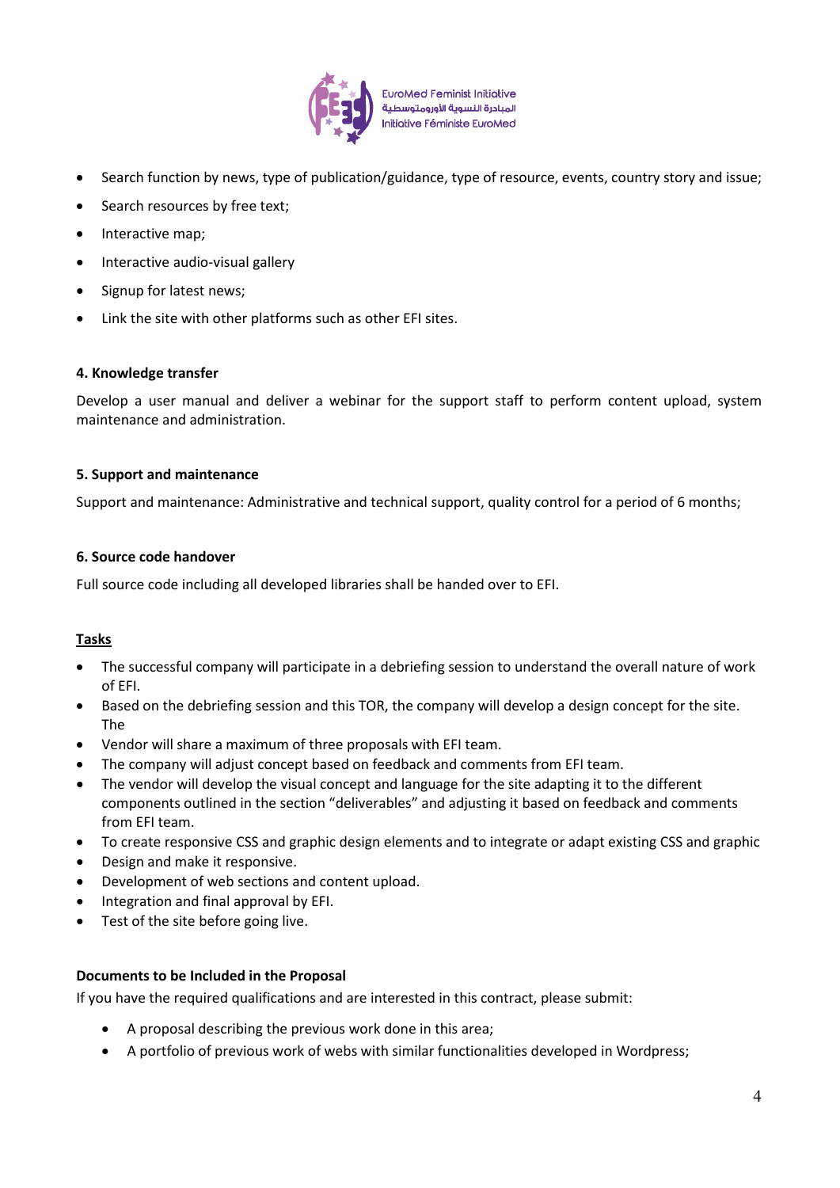

**EuroMed Feminist Initiative** المبادرة النسوية الأورومتوسطية **Initiative Féministe EuroMed** 

- Search function by news, type of publication/guidance, type of resource, events, country story and issue;
- Search resources by free text;
- Interactive map;
- Interactive audio-visual gallery
- Signup for latest news;
- Link the site with other platforms such as other EFI sites.

#### **4. Knowledge transfer**

Develop a user manual and deliver a webinar for the support staff to perform content upload, system maintenance and administration.

#### **5. Support and maintenance**

Support and maintenance: Administrative and technical support, quality control for a period of 6 months;

#### **6. Source code handover**

Full source code including all developed libraries shall be handed over to EFI.

#### **Tasks**

- The successful company will participate in a debriefing session to understand the overall nature of work of EFI.
- Based on the debriefing session and this TOR, the company will develop a design concept for the site. The
- Vendor will share a maximum of three proposals with EFI team.
- The company will adjust concept based on feedback and comments from EFI team.
- The vendor will develop the visual concept and language for the site adapting it to the different components outlined in the section "deliverables" and adjusting it based on feedback and comments from EFI team.
- To create responsive CSS and graphic design elements and to integrate or adapt existing CSS and graphic
- Design and make it responsive.
- Development of web sections and content upload.
- Integration and final approval by EFI.
- Test of the site before going live.

#### **Documents to be Included in the Proposal**

If you have the required qualifications and are interested in this contract, please submit:

- A proposal describing the previous work done in this area;
- A portfolio of previous work of webs with similar functionalities developed in Wordpress;